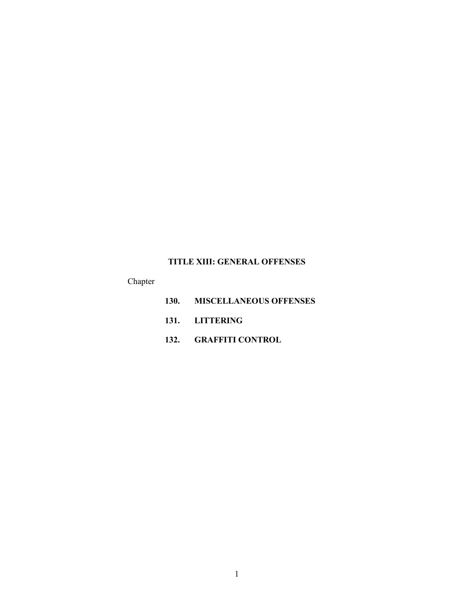# **TITLE XIII: GENERAL OFFENSES**

Chapter

- **130. MISCELLANEOUS OFFENSES**
- **131. LITTERING**
- **132. GRAFFITI CONTROL**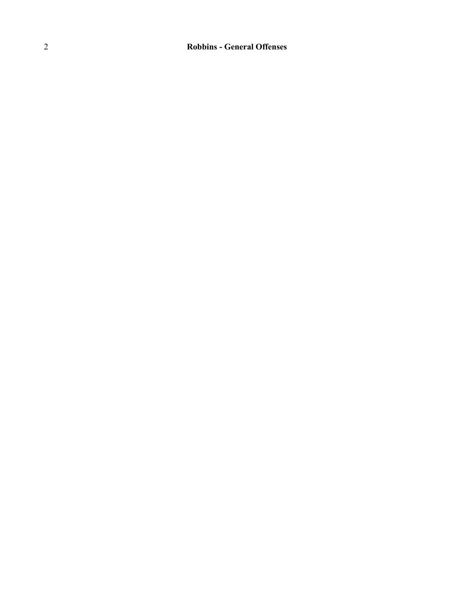# **Robbins - General Offenses**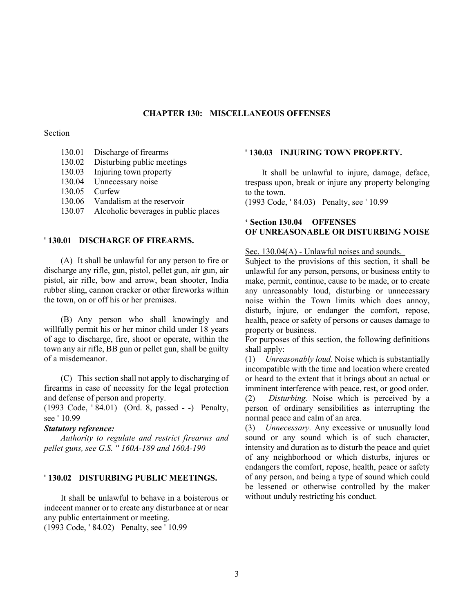#### **CHAPTER 130: MISCELLANEOUS OFFENSES**

#### Section

130.01 Discharge of firearms 130.02 Disturbing public meetings 130.03 Injuring town property 130.04 Unnecessary noise 130.05 Curfew 130.06 Vandalism at the reservoir 130.07 Alcoholic beverages in public places

## **' 130.01 DISCHARGE OF FIREARMS.**

(A) It shall be unlawful for any person to fire or discharge any rifle, gun, pistol, pellet gun, air gun, air pistol, air rifle, bow and arrow, bean shooter, India rubber sling, cannon cracker or other fireworks within the town, on or off his or her premises.

(B) Any person who shall knowingly and willfully permit his or her minor child under 18 years of age to discharge, fire, shoot or operate, within the town any air rifle, BB gun or pellet gun, shall be guilty of a misdemeanor.

(C) This section shall not apply to discharging of firearms in case of necessity for the legal protection and defense of person and property.

(1993 Code, ' 84.01) (Ord. 8, passed - -) Penalty, see ' 10.99

#### *Statutory reference:*

*Authority to regulate and restrict firearms and pellet guns, see G.S. '' 160A-189 and 160A-190*

#### **' 130.02 DISTURBING PUBLIC MEETINGS.**

It shall be unlawful to behave in a boisterous or indecent manner or to create any disturbance at or near any public entertainment or meeting.

(1993 Code, ' 84.02) Penalty, see ' 10.99

#### **' 130.03 INJURING TOWN PROPERTY.**

It shall be unlawful to injure, damage, deface, trespass upon, break or injure any property belonging to the town.

(1993 Code, ' 84.03) Penalty, see ' 10.99

# **' Section 130.04 OFFENSES OF UNREASONABLE OR DISTURBING NOISE**

#### Sec. 130.04(A) - Unlawful noises and sounds.

Subject to the provisions of this section, it shall be unlawful for any person, persons, or business entity to make, permit, continue, cause to be made, or to create any unreasonably loud, disturbing or unnecessary noise within the Town limits which does annoy, disturb, injure, or endanger the comfort, repose, health, peace or safety of persons or causes damage to property or business.

For purposes of this section, the following definitions shall apply:

(1) *Unreasonably loud.* Noise which is substantially incompatible with the time and location where created or heard to the extent that it brings about an actual or imminent interference with peace, rest, or good order.

(2) *Disturbing.* Noise which is perceived by a person of ordinary sensibilities as interrupting the normal peace and calm of an area.

(3) *Unnecessary.* Any excessive or unusually loud sound or any sound which is of such character, intensity and duration as to disturb the peace and quiet of any neighborhood or which disturbs, injures or endangers the comfort, repose, health, peace or safety of any person, and being a type of sound which could be lessened or otherwise controlled by the maker without unduly restricting his conduct.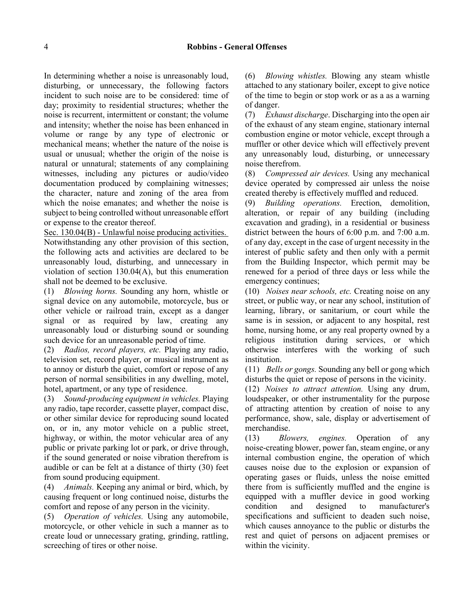In determining whether a noise is unreasonably loud, disturbing, or unnecessary, the following factors incident to such noise are to be considered: time of day; proximity to residential structures; whether the noise is recurrent, intermittent or constant; the volume and intensity; whether the noise has been enhanced in volume or range by any type of electronic or mechanical means; whether the nature of the noise is usual or unusual; whether the origin of the noise is natural or unnatural; statements of any complaining witnesses, including any pictures or audio/video documentation produced by complaining witnesses; the character, nature and zoning of the area from which the noise emanates; and whether the noise is subject to being controlled without unreasonable effort or expense to the creator thereof.

Sec. 130.04(B) - Unlawful noise producing activities.

Notwithstanding any other provision of this section, the following acts and activities are declared to be unreasonably loud, disturbing, and unnecessary in violation of section 130.04(A), but this enumeration shall not be deemed to be exclusive.

(1) *Blowing horns.* Sounding any horn, whistle or signal device on any automobile, motorcycle, bus or other vehicle or railroad train, except as a danger signal or as required by law, creating any unreasonably loud or disturbing sound or sounding such device for an unreasonable period of time.

(2) *Radios, record players, etc.* Playing any radio, television set, record player, or musical instrument as to annoy or disturb the quiet, comfort or repose of any person of normal sensibilities in any dwelling, motel, hotel, apartment, or any type of residence.

(3) *Sound-producing equipment in vehicles.* Playing any radio, tape recorder, cassette player, compact disc, or other similar device for reproducing sound located on, or in, any motor vehicle on a public street, highway, or within, the motor vehicular area of any public or private parking lot or park, or drive through, if the sound generated or noise vibration therefrom is audible or can be felt at a distance of thirty (30) feet from sound producing equipment.

(4) *Animals.* Keeping any animal or bird, which, by causing frequent or long continued noise, disturbs the comfort and repose of any person in the vicinity.

(5) *Operation of vehicles.* Using any automobile, motorcycle, or other vehicle in such a manner as to create loud or unnecessary grating, grinding, rattling, screeching of tires or other noise.

(6) *Blowing whistles.* Blowing any steam whistle attached to any stationary boiler, except to give notice of the time to begin or stop work or as a as a warning of danger.

(7) *Exhaust discharge*. Discharging into the open air of the exhaust of any steam engine, stationary internal combustion engine or motor vehicle, except through a muffler or other device which will effectively prevent any unreasonably loud, disturbing, or unnecessary noise therefrom.

(8) *Compressed air devices.* Using any mechanical device operated by compressed air unless the noise created thereby is effectively muffled and reduced.

(9) *Building operations.* Erection, demolition, alteration, or repair of any building (including excavation and grading), in a residential or business district between the hours of 6:00 p.m. and 7:00 a.m. of any day, except in the case of urgent necessity in the interest of public safety and then only with a permit from the Building Inspector, which permit may be renewed for a period of three days or less while the emergency continues;

(10) *Noises near schools, etc.* Creating noise on any street, or public way, or near any school, institution of learning, library, or sanitarium, or court while the same is in session, or adjacent to any hospital, rest home, nursing home, or any real property owned by a religious institution during services, or which otherwise interferes with the working of such institution.

(11) *Bells or gongs.* Sounding any bell or gong which disturbs the quiet or repose of persons in the vicinity.

(12) *Noises to attract attention.* Using any drum, loudspeaker, or other instrumentality for the purpose of attracting attention by creation of noise to any performance, show, sale, display or advertisement of merchandise.

(13) *Blowers, engines.* Operation of any noise-creating blower, power fan, steam engine, or any internal combustion engine, the operation of which causes noise due to the explosion or expansion of operating gases or fluids, unless the noise emitted there from is sufficiently muffled and the engine is equipped with a muffler device in good working condition and designed to manufacturer's specifications and sufficient to deaden such noise, which causes annoyance to the public or disturbs the rest and quiet of persons on adjacent premises or within the vicinity.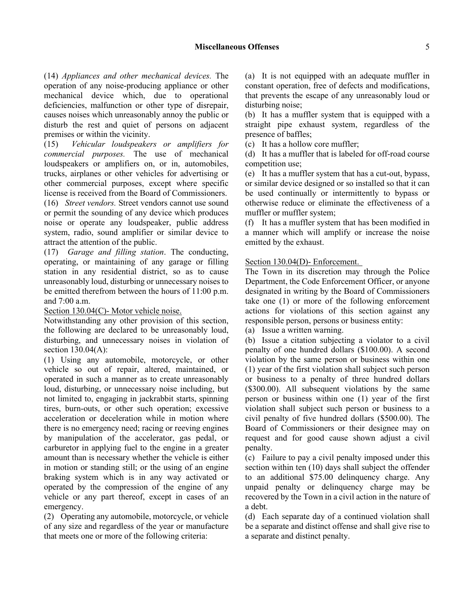(14) *Appliances and other mechanical devices.* The operation of any noise-producing appliance or other mechanical device which, due to operational deficiencies, malfunction or other type of disrepair, causes noises which unreasonably annoy the public or disturb the rest and quiet of persons on adjacent premises or within the vicinity.

(15) *Vehicular loudspeakers or amplifiers for commercial purposes.* The use of mechanical loudspeakers or amplifiers on, or in, automobiles, trucks, airplanes or other vehicles for advertising or other commercial purposes, except where specific license is received from the Board of Commissioners.

(16) *Street vendors.* Street vendors cannot use sound or permit the sounding of any device which produces noise or operate any loudspeaker, public address system, radio, sound amplifier or similar device to attract the attention of the public.

(17) *Garage and filling station*. The conducting, operating, or maintaining of any garage or filling station in any residential district, so as to cause unreasonably loud, disturbing or unnecessary noises to be emitted therefrom between the hours of 11:00 p.m. and 7:00 a.m.

Section 130.04(C)- Motor vehicle noise.

Notwithstanding any other provision of this section, the following are declared to be unreasonably loud, disturbing, and unnecessary noises in violation of section  $130.04(A)$ :

(1) Using any automobile, motorcycle, or other vehicle so out of repair, altered, maintained, or operated in such a manner as to create unreasonably loud, disturbing, or unnecessary noise including, but not limited to, engaging in jackrabbit starts, spinning tires, burn-outs, or other such operation; excessive acceleration or deceleration while in motion where there is no emergency need; racing or reeving engines by manipulation of the accelerator, gas pedal, or carburetor in applying fuel to the engine in a greater amount than is necessary whether the vehicle is either in motion or standing still; or the using of an engine braking system which is in any way activated or operated by the compression of the engine of any vehicle or any part thereof, except in cases of an emergency.

(2) Operating any automobile, motorcycle, or vehicle of any size and regardless of the year or manufacture that meets one or more of the following criteria:

(a) It is not equipped with an adequate muffler in constant operation, free of defects and modifications, that prevents the escape of any unreasonably loud or disturbing noise;

(b) It has a muffler system that is equipped with a straight pipe exhaust system, regardless of the presence of baffles;

(c) It has a hollow core muffler;

(d) It has a muffler that is labeled for off-road course competition use;

(e) It has a muffler system that has a cut-out, bypass, or similar device designed or so installed so that it can be used continually or intermittently to bypass or otherwise reduce or eliminate the effectiveness of a muffler or muffler system;

(f) It has a muffler system that has been modified in a manner which will amplify or increase the noise emitted by the exhaust.

# Section 130.04(D)- Enforcement.

The Town in its discretion may through the Police Department, the Code Enforcement Officer, or anyone designated in writing by the Board of Commissioners take one (1) or more of the following enforcement actions for violations of this section against any responsible person, persons or business entity:

(a) Issue a written warning.

(b) Issue a citation subjecting a violator to a civil penalty of one hundred dollars (\$100.00). A second violation by the same person or business within one (1) year of the first violation shall subject such person or business to a penalty of three hundred dollars (\$300.00). All subsequent violations by the same person or business within one (1) year of the first violation shall subject such person or business to a civil penalty of five hundred dollars (\$500.00). The Board of Commissioners or their designee may on request and for good cause shown adjust a civil penalty.

(c) Failure to pay a civil penalty imposed under this section within ten (10) days shall subject the offender to an additional \$75.00 delinquency charge. Any unpaid penalty or delinquency charge may be recovered by the Town in a civil action in the nature of a debt.

(d) Each separate day of a continued violation shall be a separate and distinct offense and shall give rise to a separate and distinct penalty.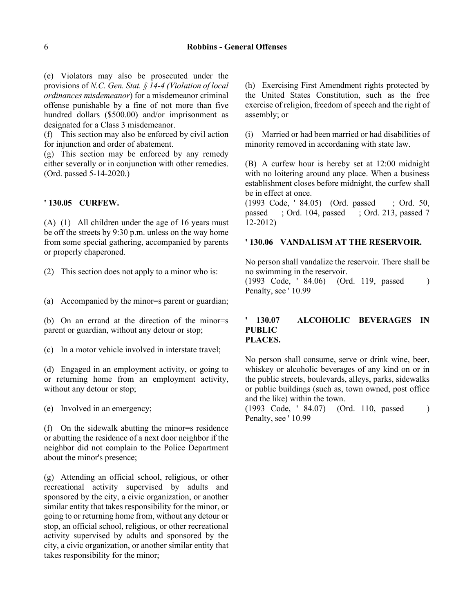(e) Violators may also be prosecuted under the provisions of *N.C. Gen. Stat. § 14-4 (Violation of local ordinances misdemeanor*) for a misdemeanor criminal offense punishable by a fine of not more than five hundred dollars (\$500.00) and/or imprisonment as designated for a Class 3 misdemeanor.

(f) This section may also be enforced by civil action for injunction and order of abatement.

(g) This section may be enforced by any remedy either severally or in conjunction with other remedies. (Ord. passed 5-14-2020.)

#### **' 130.05 CURFEW.**

(A) (1) All children under the age of 16 years must be off the streets by 9:30 p.m. unless on the way home from some special gathering, accompanied by parents or properly chaperoned.

(2) This section does not apply to a minor who is:

(a) Accompanied by the minor=s parent or guardian;

(b) On an errand at the direction of the minor=s parent or guardian, without any detour or stop;

(c) In a motor vehicle involved in interstate travel;

(d) Engaged in an employment activity, or going to or returning home from an employment activity, without any detour or stop;

(e) Involved in an emergency;

(f) On the sidewalk abutting the minor=s residence or abutting the residence of a next door neighbor if the neighbor did not complain to the Police Department about the minor's presence;

(g) Attending an official school, religious, or other recreational activity supervised by adults and sponsored by the city, a civic organization, or another similar entity that takes responsibility for the minor, or going to or returning home from, without any detour or stop, an official school, religious, or other recreational activity supervised by adults and sponsored by the city, a civic organization, or another similar entity that takes responsibility for the minor;

(h) Exercising First Amendment rights protected by the United States Constitution, such as the free exercise of religion, freedom of speech and the right of assembly; or

(i) Married or had been married or had disabilities of minority removed in accordaning with state law.

(B) A curfew hour is hereby set at 12:00 midnight with no loitering around any place. When a business establishment closes before midnight, the curfew shall be in effect at once.

(1993 Code, ' 84.05) (Ord. passed ; Ord. 50, passed ; Ord. 104, passed ; Ord. 213, passed 7 12-2012)

# **' 130.06 VANDALISM AT THE RESERVOIR.**

No person shall vandalize the reservoir. There shall be no swimming in the reservoir.

(1993 Code, ' 84.06) (Ord. 119, passed ) Penalty, see ' 10.99

## **' 130.07 ALCOHOLIC BEVERAGES IN PUBLIC PLACES.**

No person shall consume, serve or drink wine, beer, whiskey or alcoholic beverages of any kind on or in the public streets, boulevards, alleys, parks, sidewalks or public buildings (such as, town owned, post office and the like) within the town.

(1993 Code, ' 84.07) (Ord. 110, passed ) Penalty, see ' 10.99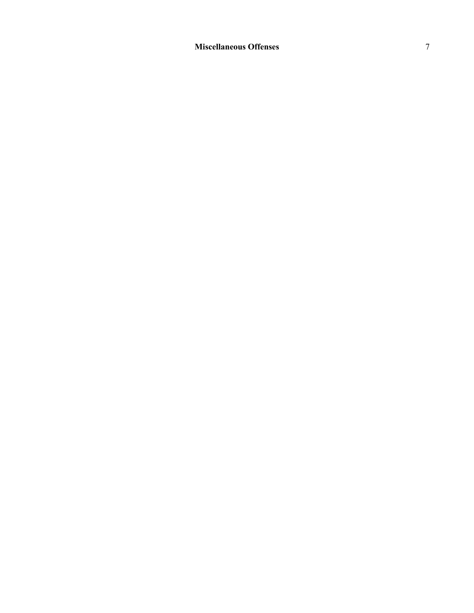**Miscellaneous Offenses** 7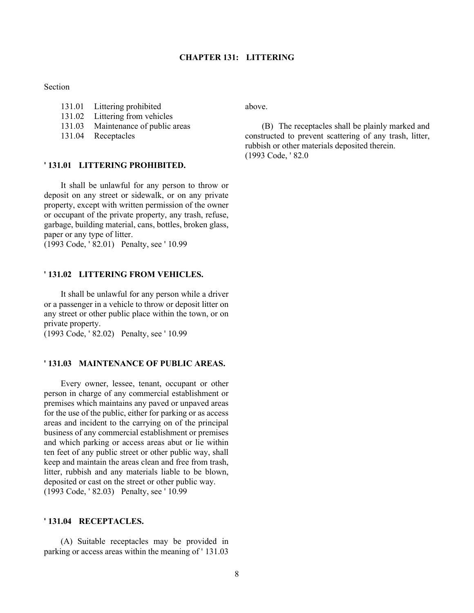# **CHAPTER 131: LITTERING**

## Section

- 131.01 Littering prohibited
- 131.02 Littering from vehicles
- 131.03 Maintenance of public areas
- 131.04 Receptacles

#### **' 131.01 LITTERING PROHIBITED.**

It shall be unlawful for any person to throw or deposit on any street or sidewalk, or on any private property, except with written permission of the owner or occupant of the private property, any trash, refuse, garbage, building material, cans, bottles, broken glass, paper or any type of litter.

(1993 Code, ' 82.01) Penalty, see ' 10.99

#### **' 131.02 LITTERING FROM VEHICLES.**

It shall be unlawful for any person while a driver or a passenger in a vehicle to throw or deposit litter on any street or other public place within the town, or on private property.

(1993 Code, ' 82.02) Penalty, see ' 10.99

#### **' 131.03 MAINTENANCE OF PUBLIC AREAS.**

Every owner, lessee, tenant, occupant or other person in charge of any commercial establishment or premises which maintains any paved or unpaved areas for the use of the public, either for parking or as access areas and incident to the carrying on of the principal business of any commercial establishment or premises and which parking or access areas abut or lie within ten feet of any public street or other public way, shall keep and maintain the areas clean and free from trash, litter, rubbish and any materials liable to be blown, deposited or cast on the street or other public way. (1993 Code, ' 82.03) Penalty, see ' 10.99

#### **' 131.04 RECEPTACLES.**

(A) Suitable receptacles may be provided in parking or access areas within the meaning of ' 131.03

above.

(B) The receptacles shall be plainly marked and constructed to prevent scattering of any trash, litter, rubbish or other materials deposited therein. (1993 Code, ' 82.0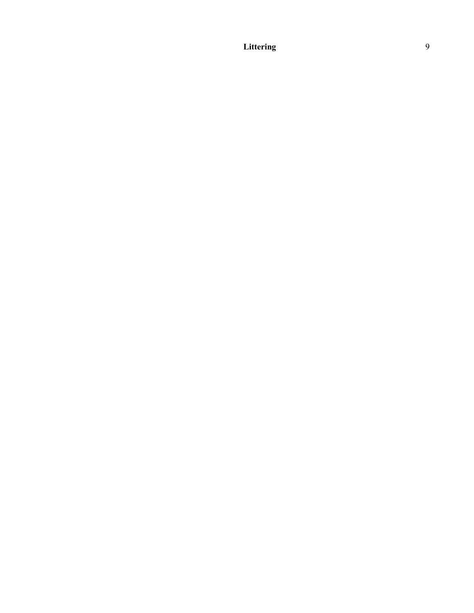**Littering** 9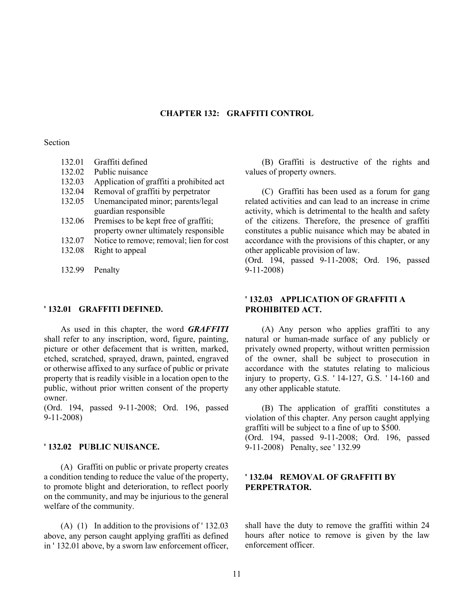#### **CHAPTER 132: GRAFFITI CONTROL**

Section

| 132.01 | Graffiti defined                         |
|--------|------------------------------------------|
| 132.02 | Public nuisance                          |
| 132.03 | Application of graffiti a prohibited act |
| 132.04 | Removal of graffiti by perpetrator       |
| 132.05 | Unemancipated minor; parents/legal       |
|        | guardian responsible                     |
| 132.06 | Premises to be kept free of graffiti;    |
|        | property owner ultimately responsible    |
| 132.07 | Notice to remove; removal; lien for cost |
| 132.08 | Right to appeal                          |

132.99 Penalty

#### **' 132.01 GRAFFITI DEFINED.**

As used in this chapter, the word *GRAFFITI* shall refer to any inscription, word, figure, painting, picture or other defacement that is written, marked, etched, scratched, sprayed, drawn, painted, engraved or otherwise affixed to any surface of public or private property that is readily visible in a location open to the public, without prior written consent of the property owner.

(Ord. 194, passed 9-11-2008; Ord. 196, passed 9-11-2008)

#### **' 132.02 PUBLIC NUISANCE.**

(A) Graffiti on public or private property creates a condition tending to reduce the value of the property, to promote blight and deterioration, to reflect poorly on the community, and may be injurious to the general welfare of the community.

(A) (1) In addition to the provisions of ' 132.03 above, any person caught applying graffiti as defined in ' 132.01 above, by a sworn law enforcement officer,

(B) Graffiti is destructive of the rights and values of property owners.

(C) Graffiti has been used as a forum for gang related activities and can lead to an increase in crime activity, which is detrimental to the health and safety of the citizens. Therefore, the presence of graffiti constitutes a public nuisance which may be abated in accordance with the provisions of this chapter, or any other applicable provision of law.

(Ord. 194, passed 9-11-2008; Ord. 196, passed 9-11-2008)

## **' 132.03 APPLICATION OF GRAFFITI A PROHIBITED ACT.**

(A) Any person who applies graffiti to any natural or human-made surface of any publicly or privately owned property, without written permission of the owner, shall be subject to prosecution in accordance with the statutes relating to malicious injury to property, G.S. ' 14-127, G.S. ' 14-160 and any other applicable statute.

(B) The application of graffiti constitutes a violation of this chapter. Any person caught applying graffiti will be subject to a fine of up to \$500. (Ord. 194, passed 9-11-2008; Ord. 196, passed 9-11-2008) Penalty, see ' 132.99

# **' 132.04 REMOVAL OF GRAFFITI BY PERPETRATOR.**

shall have the duty to remove the graffiti within 24 hours after notice to remove is given by the law enforcement officer.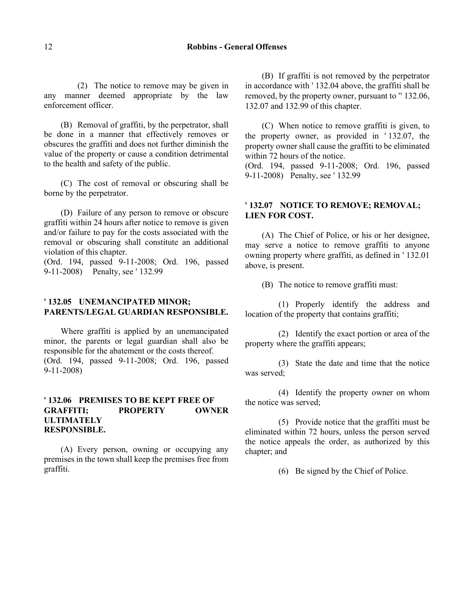(2) The notice to remove may be given in any manner deemed appropriate by the law enforcement officer.

(B) Removal of graffiti, by the perpetrator, shall be done in a manner that effectively removes or obscures the graffiti and does not further diminish the value of the property or cause a condition detrimental to the health and safety of the public.

(C) The cost of removal or obscuring shall be borne by the perpetrator.

(D) Failure of any person to remove or obscure graffiti within 24 hours after notice to remove is given and/or failure to pay for the costs associated with the removal or obscuring shall constitute an additional violation of this chapter.

(Ord. 194, passed 9-11-2008; Ord. 196, passed 9-11-2008) Penalty, see ' 132.99

## **' 132.05 UNEMANCIPATED MINOR; PARENTS/LEGAL GUARDIAN RESPONSIBLE.**

Where graffiti is applied by an unemancipated minor, the parents or legal guardian shall also be responsible for the abatement or the costs thereof. (Ord. 194, passed 9-11-2008; Ord. 196, passed 9-11-2008)

# **' 132.06 PREMISES TO BE KEPT FREE OF GRAFFITI; PROPERTY OWNER ULTIMATELY RESPONSIBLE.**

(A) Every person, owning or occupying any premises in the town shall keep the premises free from graffiti.

(B) If graffiti is not removed by the perpetrator in accordance with ' 132.04 above, the graffiti shall be removed, by the property owner, pursuant to '' 132.06, 132.07 and 132.99 of this chapter.

(C) When notice to remove graffiti is given, to the property owner, as provided in ' 132.07, the property owner shall cause the graffiti to be eliminated within 72 hours of the notice.

(Ord. 194, passed 9-11-2008; Ord. 196, passed 9-11-2008) Penalty, see ' 132.99

# **' 132.07 NOTICE TO REMOVE; REMOVAL; LIEN FOR COST.**

(A) The Chief of Police, or his or her designee, may serve a notice to remove graffiti to anyone owning property where graffiti, as defined in ' 132.01 above, is present.

(B) The notice to remove graffiti must:

(1) Properly identify the address and location of the property that contains graffiti;

(2) Identify the exact portion or area of the property where the graffiti appears;

(3) State the date and time that the notice was served;

(4) Identify the property owner on whom the notice was served;

(5) Provide notice that the graffiti must be eliminated within 72 hours, unless the person served the notice appeals the order, as authorized by this chapter; and

(6) Be signed by the Chief of Police.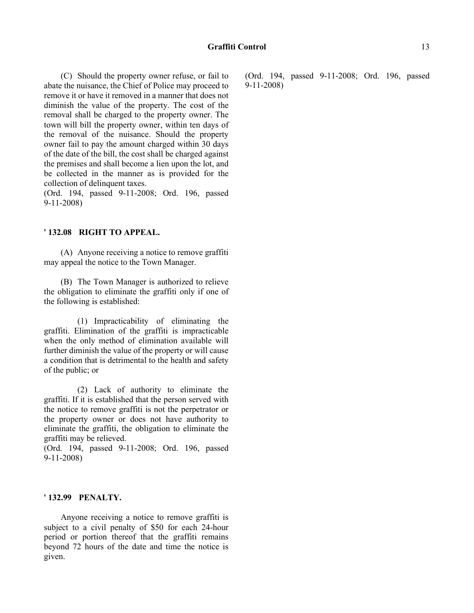(C) Should the property owner refuse, or fail to abate the nuisance, the Chief of Police may proceed to remove it or have it removed in a manner that does not diminish the value of the property. The cost of the removal shall be charged to the property owner. The town will bill the property owner, within ten days of the removal of the nuisance. Should the property owner fail to pay the amount charged within 30 days of the date of the bill, the cost shall be charged against the premises and shall become a lien upon the lot, and be collected in the manner as is provided for the collection of delinquent taxes.

(Ord. 194, passed 9-11-2008; Ord. 196, passed 9-11-2008)

### **' 132.08 RIGHT TO APPEAL.**

(A) Anyone receiving a notice to remove graffiti may appeal the notice to the Town Manager.

(B) The Town Manager is authorized to relieve the obligation to eliminate the graffiti only if one of the following is established:

(1) Impracticability of eliminating the graffiti. Elimination of the graffiti is impracticable when the only method of elimination available will further diminish the value of the property or will cause a condition that is detrimental to the health and safety of the public; or

(2) Lack of authority to eliminate the graffiti. If it is established that the person served with the notice to remove graffiti is not the perpetrator or the property owner or does not have authority to eliminate the graffiti, the obligation to eliminate the graffiti may be relieved.

(Ord. 194, passed 9-11-2008; Ord. 196, passed 9-11-2008)

#### **' 132.99 PENALTY.**

Anyone receiving a notice to remove graffiti is subject to a civil penalty of \$50 for each 24-hour period or portion thereof that the graffiti remains beyond 72 hours of the date and time the notice is given.

(Ord. 194, passed 9-11-2008; Ord. 196, passed 9-11-2008)